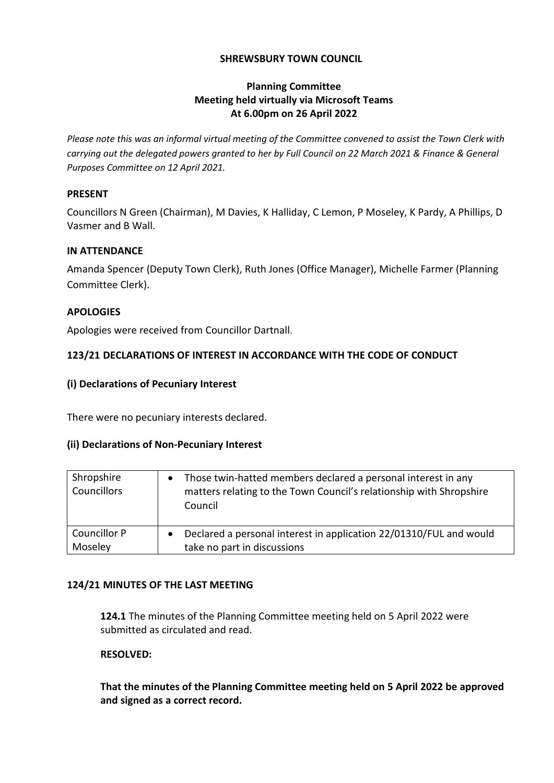## **SHREWSBURY TOWN COUNCIL**

# **Planning Committee Meeting held virtually via Microsoft Teams At 6.00pm on 26 April 2022**

*Please note this was an informal virtual meeting of the Committee convened to assist the Town Clerk with carrying out the delegated powers granted to her by Full Council on 22 March 2021 & Finance & General Purposes Committee on 12 April 2021.*

### **PRESENT**

Councillors N Green (Chairman), M Davies, K Halliday, C Lemon, P Moseley, K Pardy, A Phillips, D Vasmer and B Wall.

## **IN ATTENDANCE**

Amanda Spencer (Deputy Town Clerk), Ruth Jones (Office Manager), Michelle Farmer (Planning Committee Clerk).

## **APOLOGIES**

Apologies were received from Councillor Dartnall.

# **123/21 DECLARATIONS OF INTEREST IN ACCORDANCE WITH THE CODE OF CONDUCT**

## **(i) Declarations of Pecuniary Interest**

There were no pecuniary interests declared.

#### **(ii) Declarations of Non-Pecuniary Interest**

| Shropshire<br>Councillors | Those twin-hatted members declared a personal interest in any<br>matters relating to the Town Council's relationship with Shropshire<br>Council |
|---------------------------|-------------------------------------------------------------------------------------------------------------------------------------------------|
| <b>Councillor P</b>       | Declared a personal interest in application 22/01310/FUL and would                                                                              |
| Moseley                   | take no part in discussions                                                                                                                     |

#### **124/21 MINUTES OF THE LAST MEETING**

**124.1** The minutes of the Planning Committee meeting held on 5 April 2022 were submitted as circulated and read.

# **RESOLVED:**

**That the minutes of the Planning Committee meeting held on 5 April 2022 be approved and signed as a correct record.**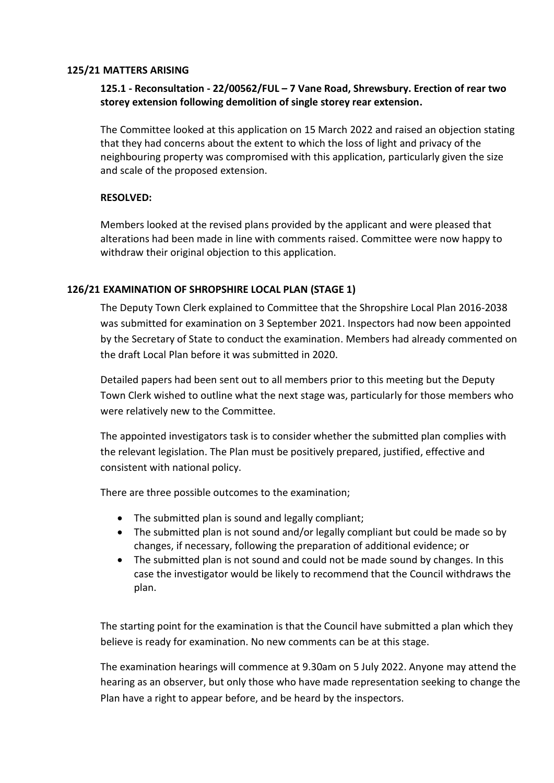#### **125/21 MATTERS ARISING**

# **125.1 - Reconsultation - 22/00562/FUL – 7 Vane Road, Shrewsbury. Erection of rear two storey extension following demolition of single storey rear extension.**

The Committee looked at this application on 15 March 2022 and raised an objection stating that they had concerns about the extent to which the loss of light and privacy of the neighbouring property was compromised with this application, particularly given the size and scale of the proposed extension.

## **RESOLVED:**

Members looked at the revised plans provided by the applicant and were pleased that alterations had been made in line with comments raised. Committee were now happy to withdraw their original objection to this application.

## **126/21 EXAMINATION OF SHROPSHIRE LOCAL PLAN (STAGE 1)**

The Deputy Town Clerk explained to Committee that the Shropshire Local Plan 2016-2038 was submitted for examination on 3 September 2021. Inspectors had now been appointed by the Secretary of State to conduct the examination. Members had already commented on the draft Local Plan before it was submitted in 2020.

Detailed papers had been sent out to all members prior to this meeting but the Deputy Town Clerk wished to outline what the next stage was, particularly for those members who were relatively new to the Committee.

The appointed investigators task is to consider whether the submitted plan complies with the relevant legislation. The Plan must be positively prepared, justified, effective and consistent with national policy.

There are three possible outcomes to the examination;

- The submitted plan is sound and legally compliant;
- The submitted plan is not sound and/or legally compliant but could be made so by changes, if necessary, following the preparation of additional evidence; or
- The submitted plan is not sound and could not be made sound by changes. In this case the investigator would be likely to recommend that the Council withdraws the plan.

The starting point for the examination is that the Council have submitted a plan which they believe is ready for examination. No new comments can be at this stage.

The examination hearings will commence at 9.30am on 5 July 2022. Anyone may attend the hearing as an observer, but only those who have made representation seeking to change the Plan have a right to appear before, and be heard by the inspectors.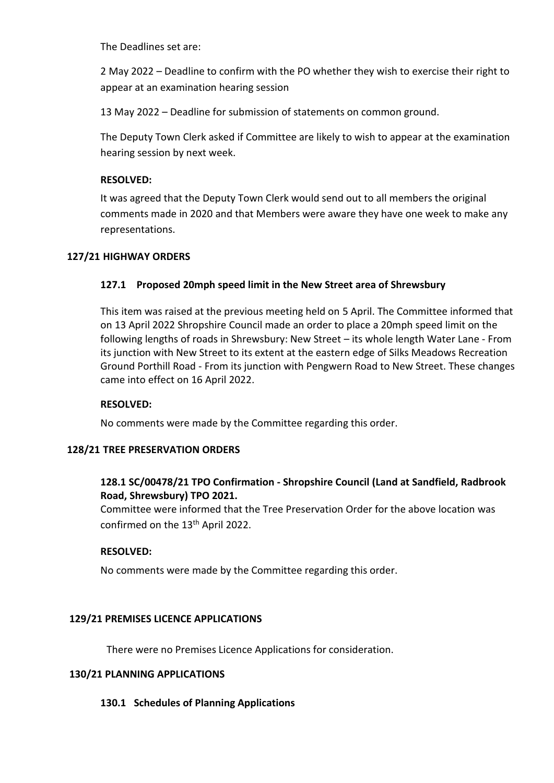The Deadlines set are:

2 May 2022 – Deadline to confirm with the PO whether they wish to exercise their right to appear at an examination hearing session

13 May 2022 – Deadline for submission of statements on common ground.

The Deputy Town Clerk asked if Committee are likely to wish to appear at the examination hearing session by next week.

## **RESOLVED:**

It was agreed that the Deputy Town Clerk would send out to all members the original comments made in 2020 and that Members were aware they have one week to make any representations.

## **127/21 HIGHWAY ORDERS**

## **127.1 Proposed 20mph speed limit in the New Street area of Shrewsbury**

This item was raised at the previous meeting held on 5 April. The Committee informed that on 13 April 2022 Shropshire Council made an order to place a 20mph speed limit on the following lengths of roads in Shrewsbury: New Street – its whole length Water Lane - From its junction with New Street to its extent at the eastern edge of Silks Meadows Recreation Ground Porthill Road - From its junction with Pengwern Road to New Street. These changes came into effect on 16 April 2022.

#### **RESOLVED:**

No comments were made by the Committee regarding this order.

#### **128/21 TREE PRESERVATION ORDERS**

# **128.1 SC/00478/21 TPO Confirmation - Shropshire Council (Land at Sandfield, Radbrook Road, Shrewsbury) TPO 2021.**

Committee were informed that the Tree Preservation Order for the above location was confirmed on the 13<sup>th</sup> April 2022.

#### **RESOLVED:**

No comments were made by the Committee regarding this order.

#### **129/21 PREMISES LICENCE APPLICATIONS**

There were no Premises Licence Applications for consideration.

#### **130/21 PLANNING APPLICATIONS**

# **130.1 Schedules of Planning Applications**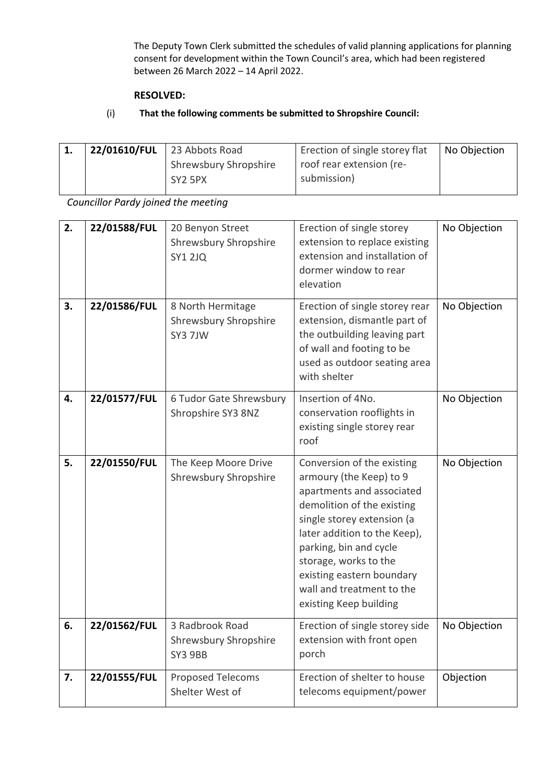The Deputy Town Clerk submitted the schedules of valid planning applications for planning consent for development within the Town Council's area, which had been registered between 26 March 2022 – 14 April 2022.

#### **RESOLVED:**

# (i) **That the following comments be submitted to Shropshire Council:**

| - 1. | $22/01610/FUL$ 23 Abbots Road | Erection of single storey flat | No Objection |
|------|-------------------------------|--------------------------------|--------------|
|      | <b>Shrewsbury Shropshire</b>  | roof rear extension (re-       |              |
|      | SY <sub>2</sub> 5PX           | submission)                    |              |
|      |                               |                                |              |

*Councillor Pardy joined the meeting*

| 2.<br>3. | 22/01588/FUL<br>22/01586/FUL | 20 Benyon Street<br>Shrewsbury Shropshire<br><b>SY1 2JQ</b><br>8 North Hermitage | Erection of single storey<br>extension to replace existing<br>extension and installation of<br>dormer window to rear<br>elevation<br>Erection of single storey rear                                                                                                                                                   | No Objection<br>No Objection |
|----------|------------------------------|----------------------------------------------------------------------------------|-----------------------------------------------------------------------------------------------------------------------------------------------------------------------------------------------------------------------------------------------------------------------------------------------------------------------|------------------------------|
|          |                              | Shrewsbury Shropshire<br>SY3 7JW                                                 | extension, dismantle part of<br>the outbuilding leaving part<br>of wall and footing to be<br>used as outdoor seating area<br>with shelter                                                                                                                                                                             |                              |
| 4.       | 22/01577/FUL                 | 6 Tudor Gate Shrewsbury<br>Shropshire SY3 8NZ                                    | Insertion of 4No.<br>conservation rooflights in<br>existing single storey rear<br>roof                                                                                                                                                                                                                                | No Objection                 |
| 5.       | 22/01550/FUL                 | The Keep Moore Drive<br>Shrewsbury Shropshire                                    | Conversion of the existing<br>armoury (the Keep) to 9<br>apartments and associated<br>demolition of the existing<br>single storey extension (a<br>later addition to the Keep),<br>parking, bin and cycle<br>storage, works to the<br>existing eastern boundary<br>wall and treatment to the<br>existing Keep building | No Objection                 |
| 6.       | 22/01562/FUL                 | 3 Radbrook Road<br>Shrewsbury Shropshire<br>SY3 9BB                              | Erection of single storey side<br>extension with front open<br>porch                                                                                                                                                                                                                                                  | No Objection                 |
| 7.       | 22/01555/FUL                 | <b>Proposed Telecoms</b><br>Shelter West of                                      | Erection of shelter to house<br>telecoms equipment/power                                                                                                                                                                                                                                                              | Objection                    |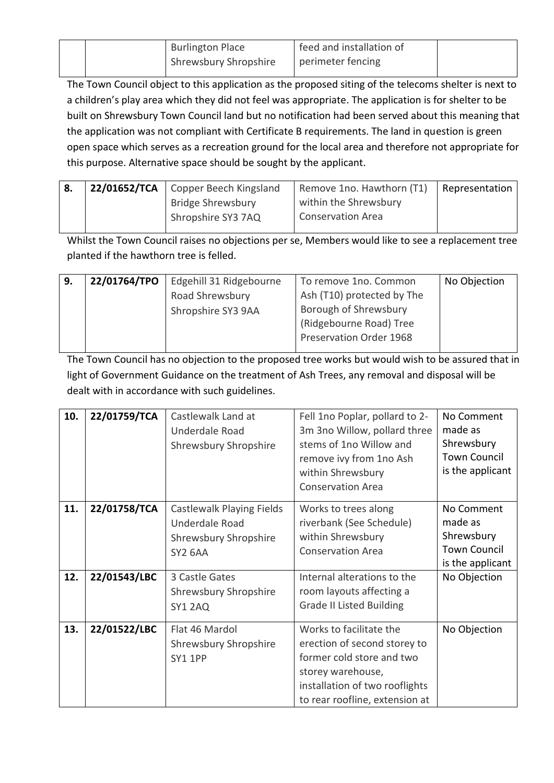| <b>Burlington Place</b> | feed and installation of |  |
|-------------------------|--------------------------|--|
| Shrewsbury Shropshire   | perimeter fencing        |  |

The Town Council object to this application as the proposed siting of the telecoms shelter is next to a children's play area which they did not feel was appropriate. The application is for shelter to be built on Shrewsbury Town Council land but no notification had been served about this meaning that the application was not compliant with Certificate B requirements. The land in question is green open space which serves as a recreation ground for the local area and therefore not appropriate for this purpose. Alternative space should be sought by the applicant.

| ' 8. | 22/01652/TCA   Copper Beech Kingsland | Remove 1no. Hawthorn (T1) | Representation |
|------|---------------------------------------|---------------------------|----------------|
|      | <b>Bridge Shrewsbury</b>              | within the Shrewsbury     |                |
|      | Shropshire SY3 7AQ                    | <b>Conservation Area</b>  |                |
|      |                                       |                           |                |

Whilst the Town Council raises no objections per se, Members would like to see a replacement tree planted if the hawthorn tree is felled.

| 9. | 22/01764/TPO | Edgehill 31 Ridgebourne | To remove 1no. Common          | No Objection |
|----|--------------|-------------------------|--------------------------------|--------------|
|    |              | Road Shrewsbury         | Ash (T10) protected by The     |              |
|    |              | Shropshire SY3 9AA      | Borough of Shrewsbury          |              |
|    |              |                         | (Ridgebourne Road) Tree        |              |
|    |              |                         | <b>Preservation Order 1968</b> |              |
|    |              |                         |                                |              |

The Town Council has no objection to the proposed tree works but would wish to be assured that in light of Government Guidance on the treatment of Ash Trees, any removal and disposal will be dealt with in accordance with such guidelines.

| 10. | 22/01759/TCA | Castlewalk Land at<br>Underdale Road<br>Shrewsbury Shropshire                   | Fell 1no Poplar, pollard to 2-<br>3m 3no Willow, pollard three<br>stems of 1no Willow and<br>remove ivy from 1no Ash<br>within Shrewsbury<br><b>Conservation Area</b>         | No Comment<br>made as<br>Shrewsbury<br><b>Town Council</b><br>is the applicant |
|-----|--------------|---------------------------------------------------------------------------------|-------------------------------------------------------------------------------------------------------------------------------------------------------------------------------|--------------------------------------------------------------------------------|
| 11. | 22/01758/TCA | Castlewalk Playing Fields<br>Underdale Road<br>Shrewsbury Shropshire<br>SY2 6AA | Works to trees along<br>riverbank (See Schedule)<br>within Shrewsbury<br><b>Conservation Area</b>                                                                             | No Comment<br>made as<br>Shrewsbury<br><b>Town Council</b><br>is the applicant |
| 12. | 22/01543/LBC | 3 Castle Gates<br>Shrewsbury Shropshire<br>SY1 2AQ                              | Internal alterations to the<br>room layouts affecting a<br><b>Grade II Listed Building</b>                                                                                    | No Objection                                                                   |
| 13. | 22/01522/LBC | Flat 46 Mardol<br>Shrewsbury Shropshire<br><b>SY1 1PP</b>                       | Works to facilitate the<br>erection of second storey to<br>former cold store and two<br>storey warehouse,<br>installation of two rooflights<br>to rear roofline, extension at | No Objection                                                                   |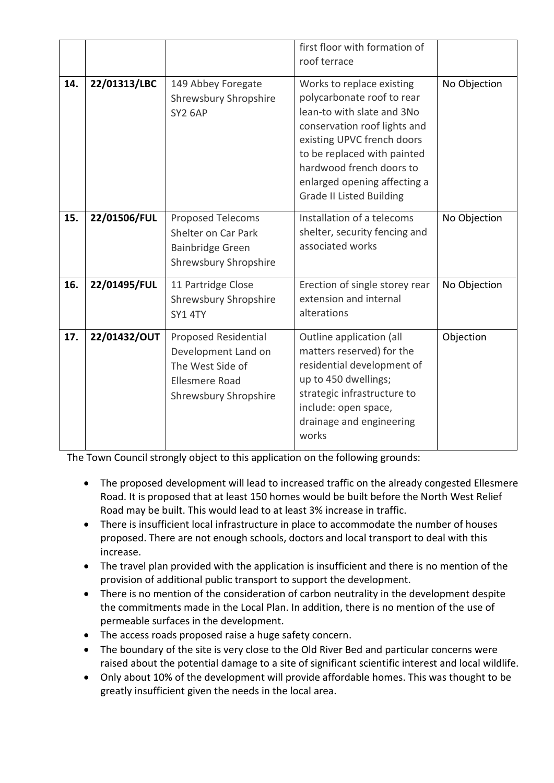|     |              |                                                                                                                   | first floor with formation of<br>roof terrace                                                                                                                                                                                                                                     |              |
|-----|--------------|-------------------------------------------------------------------------------------------------------------------|-----------------------------------------------------------------------------------------------------------------------------------------------------------------------------------------------------------------------------------------------------------------------------------|--------------|
| 14. | 22/01313/LBC | 149 Abbey Foregate<br>Shrewsbury Shropshire<br><b>SY2 6AP</b>                                                     | Works to replace existing<br>polycarbonate roof to rear<br>lean-to with slate and 3No<br>conservation roof lights and<br>existing UPVC french doors<br>to be replaced with painted<br>hardwood french doors to<br>enlarged opening affecting a<br><b>Grade II Listed Building</b> | No Objection |
| 15. | 22/01506/FUL | <b>Proposed Telecoms</b><br>Shelter on Car Park<br><b>Bainbridge Green</b><br>Shrewsbury Shropshire               | Installation of a telecoms<br>shelter, security fencing and<br>associated works                                                                                                                                                                                                   | No Objection |
| 16. | 22/01495/FUL | 11 Partridge Close<br>Shrewsbury Shropshire<br>SY1 4TY                                                            | Erection of single storey rear<br>extension and internal<br>alterations                                                                                                                                                                                                           | No Objection |
| 17. | 22/01432/OUT | Proposed Residential<br>Development Land on<br>The West Side of<br><b>Ellesmere Road</b><br>Shrewsbury Shropshire | Outline application (all<br>matters reserved) for the<br>residential development of<br>up to 450 dwellings;<br>strategic infrastructure to<br>include: open space,<br>drainage and engineering<br>works                                                                           | Objection    |

The Town Council strongly object to this application on the following grounds:

- The proposed development will lead to increased traffic on the already congested Ellesmere Road. It is proposed that at least 150 homes would be built before the North West Relief Road may be built. This would lead to at least 3% increase in traffic.
- There is insufficient local infrastructure in place to accommodate the number of houses proposed. There are not enough schools, doctors and local transport to deal with this increase.
- The travel plan provided with the application is insufficient and there is no mention of the provision of additional public transport to support the development.
- There is no mention of the consideration of carbon neutrality in the development despite the commitments made in the Local Plan. In addition, there is no mention of the use of permeable surfaces in the development.
- The access roads proposed raise a huge safety concern.
- The boundary of the site is very close to the Old River Bed and particular concerns were raised about the potential damage to a site of significant scientific interest and local wildlife.
- Only about 10% of the development will provide affordable homes. This was thought to be greatly insufficient given the needs in the local area.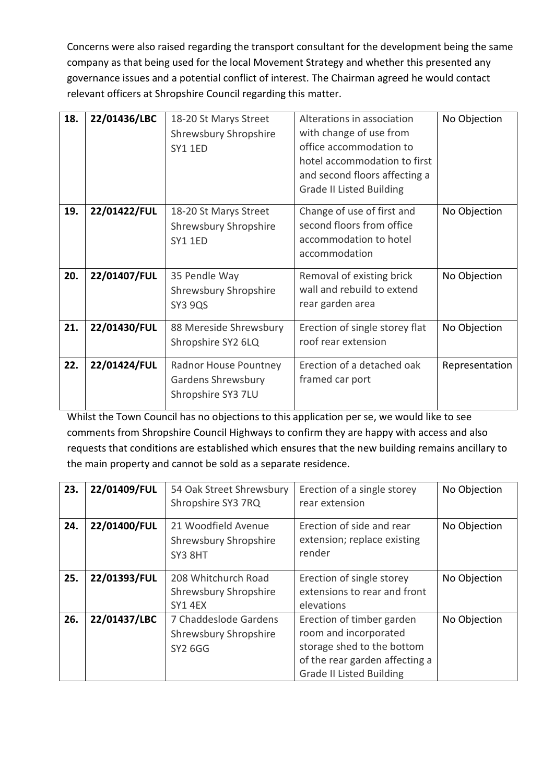Concerns were also raised regarding the transport consultant for the development being the same company as that being used for the local Movement Strategy and whether this presented any governance issues and a potential conflict of interest. The Chairman agreed he would contact relevant officers at Shropshire Council regarding this matter.

| 18. | 22/01436/LBC | 18-20 St Marys Street<br><b>Shrewsbury Shropshire</b><br>SY1 1ED  | Alterations in association<br>with change of use from<br>office accommodation to<br>hotel accommodation to first<br>and second floors affecting a<br><b>Grade II Listed Building</b> | No Objection   |
|-----|--------------|-------------------------------------------------------------------|--------------------------------------------------------------------------------------------------------------------------------------------------------------------------------------|----------------|
| 19. | 22/01422/FUL | 18-20 St Marys Street<br>Shrewsbury Shropshire<br><b>SY1 1ED</b>  | Change of use of first and<br>second floors from office<br>accommodation to hotel<br>accommodation                                                                                   | No Objection   |
| 20. | 22/01407/FUL | 35 Pendle Way<br>Shrewsbury Shropshire<br><b>SY3 9QS</b>          | Removal of existing brick<br>wall and rebuild to extend<br>rear garden area                                                                                                          | No Objection   |
| 21. | 22/01430/FUL | 88 Mereside Shrewsbury<br>Shropshire SY2 6LQ                      | Erection of single storey flat<br>roof rear extension                                                                                                                                | No Objection   |
| 22. | 22/01424/FUL | Radnor House Pountney<br>Gardens Shrewsbury<br>Shropshire SY3 7LU | Erection of a detached oak<br>framed car port                                                                                                                                        | Representation |

Whilst the Town Council has no objections to this application per se, we would like to see comments from Shropshire Council Highways to confirm they are happy with access and also requests that conditions are established which ensures that the new building remains ancillary to the main property and cannot be sold as a separate residence.

| 23. | 22/01409/FUL | 54 Oak Street Shrewsbury<br>Shropshire SY3 7RQ                 | Erection of a single storey<br>rear extension                      | No Objection |
|-----|--------------|----------------------------------------------------------------|--------------------------------------------------------------------|--------------|
| 24. | 22/01400/FUL | 21 Woodfield Avenue<br><b>Shrewsbury Shropshire</b><br>SY3 8HT | Erection of side and rear<br>extension; replace existing<br>render | No Objection |
| 25. | 22/01393/FUL | 208 Whitchurch Road                                            | Erection of single storey                                          | No Objection |
|     |              | <b>Shrewsbury Shropshire</b>                                   | extensions to rear and front                                       |              |
|     |              | SY1 4EX                                                        | elevations                                                         |              |
| 26. | 22/01437/LBC | 7 Chaddeslode Gardens                                          | Erection of timber garden                                          | No Objection |
|     |              | Shrewsbury Shropshire                                          | room and incorporated                                              |              |
|     |              | <b>SY2 6GG</b>                                                 | storage shed to the bottom                                         |              |
|     |              |                                                                | of the rear garden affecting a                                     |              |
|     |              |                                                                | <b>Grade II Listed Building</b>                                    |              |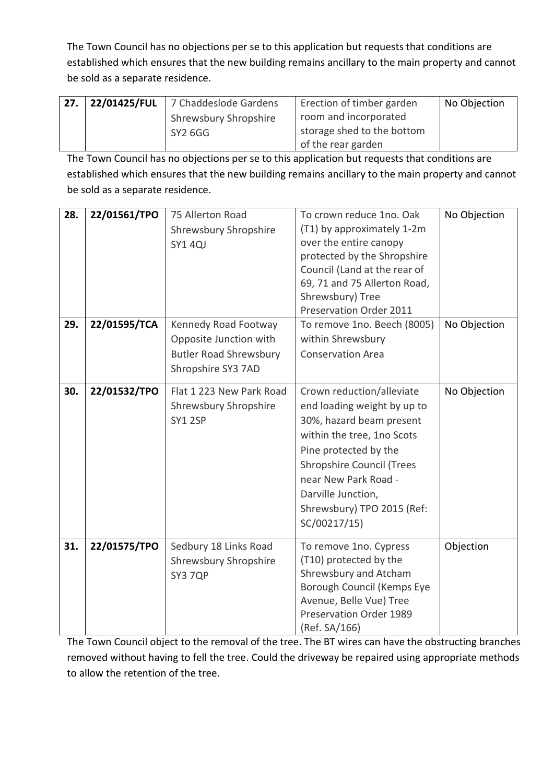The Town Council has no objections per se to this application but requests that conditions are established which ensures that the new building remains ancillary to the main property and cannot be sold as a separate residence.

| 27. | $\vert$ 22/01425/FUL $\vert$ 7 Chaddeslode Gardens | Erection of timber garden  | No Objection |
|-----|----------------------------------------------------|----------------------------|--------------|
|     | <b>Shrewsbury Shropshire</b>                       | room and incorporated      |              |
|     | SY2 6GG                                            | storage shed to the bottom |              |
|     |                                                    | of the rear garden         |              |

The Town Council has no objections per se to this application but requests that conditions are established which ensures that the new building remains ancillary to the main property and cannot be sold as a separate residence.

| 28. | 22/01561/TPO | 75 Allerton Road              | To crown reduce 1no. Oak         | No Objection |
|-----|--------------|-------------------------------|----------------------------------|--------------|
|     |              | Shrewsbury Shropshire         | (T1) by approximately 1-2m       |              |
|     |              | <b>SY1 4QJ</b>                | over the entire canopy           |              |
|     |              |                               | protected by the Shropshire      |              |
|     |              |                               | Council (Land at the rear of     |              |
|     |              |                               | 69, 71 and 75 Allerton Road,     |              |
|     |              |                               | Shrewsbury) Tree                 |              |
|     |              |                               | Preservation Order 2011          |              |
| 29. | 22/01595/TCA | Kennedy Road Footway          | To remove 1no. Beech (8005)      | No Objection |
|     |              | Opposite Junction with        | within Shrewsbury                |              |
|     |              | <b>Butler Road Shrewsbury</b> | <b>Conservation Area</b>         |              |
|     |              | Shropshire SY3 7AD            |                                  |              |
|     |              |                               |                                  |              |
| 30. | 22/01532/TPO | Flat 1 223 New Park Road      | Crown reduction/alleviate        | No Objection |
|     |              | Shrewsbury Shropshire         | end loading weight by up to      |              |
|     |              | <b>SY1 2SP</b>                | 30%, hazard beam present         |              |
|     |              |                               | within the tree, 1no Scots       |              |
|     |              |                               | Pine protected by the            |              |
|     |              |                               | <b>Shropshire Council (Trees</b> |              |
|     |              |                               | near New Park Road -             |              |
|     |              |                               | Darville Junction,               |              |
|     |              |                               | Shrewsbury) TPO 2015 (Ref:       |              |
|     |              |                               | SC/00217/15)                     |              |
|     |              |                               |                                  |              |
| 31. | 22/01575/TPO | Sedbury 18 Links Road         | To remove 1no. Cypress           | Objection    |
|     |              | <b>Shrewsbury Shropshire</b>  | (T10) protected by the           |              |
|     |              | SY3 7QP                       | Shrewsbury and Atcham            |              |
|     |              |                               | Borough Council (Kemps Eye       |              |
|     |              |                               | Avenue, Belle Vue) Tree          |              |
|     |              |                               | Preservation Order 1989          |              |
|     |              |                               | (Ref. SA/166)                    |              |

The Town Council object to the removal of the tree. The BT wires can have the obstructing branches removed without having to fell the tree. Could the driveway be repaired using appropriate methods to allow the retention of the tree.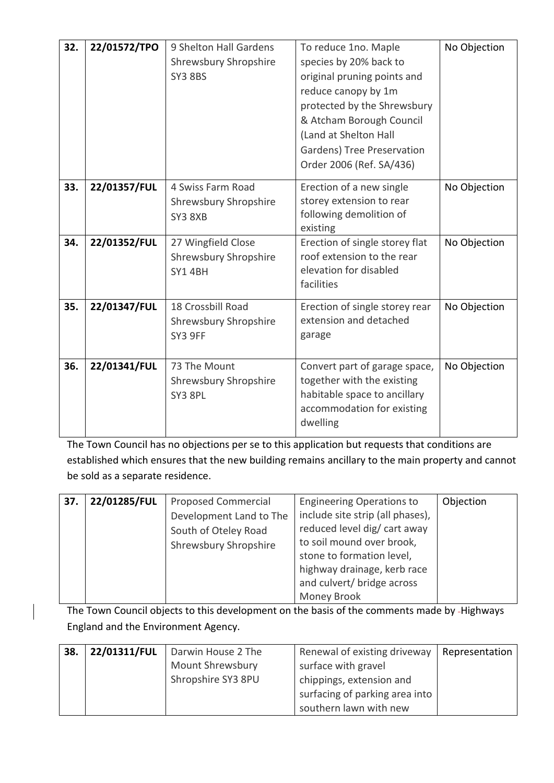| 32. | 22/01572/TPO | 9 Shelton Hall Gardens<br>Shrewsbury Shropshire<br><b>SY3 8BS</b> | To reduce 1no. Maple<br>species by 20% back to<br>original pruning points and<br>reduce canopy by 1m<br>protected by the Shrewsbury<br>& Atcham Borough Council<br>(Land at Shelton Hall<br>Gardens) Tree Preservation<br>Order 2006 (Ref. SA/436) | No Objection |
|-----|--------------|-------------------------------------------------------------------|----------------------------------------------------------------------------------------------------------------------------------------------------------------------------------------------------------------------------------------------------|--------------|
| 33. | 22/01357/FUL | 4 Swiss Farm Road<br>Shrewsbury Shropshire<br>SY3 8XB             | Erection of a new single<br>storey extension to rear<br>following demolition of<br>existing                                                                                                                                                        | No Objection |
| 34. | 22/01352/FUL | 27 Wingfield Close<br>Shrewsbury Shropshire<br><b>SY1 4BH</b>     | Erection of single storey flat<br>roof extension to the rear<br>elevation for disabled<br>facilities                                                                                                                                               | No Objection |
| 35. | 22/01347/FUL | 18 Crossbill Road<br>Shrewsbury Shropshire<br>SY3 9FF             | Erection of single storey rear<br>extension and detached<br>garage                                                                                                                                                                                 | No Objection |
| 36. | 22/01341/FUL | 73 The Mount<br>Shrewsbury Shropshire<br>SY3 8PL                  | Convert part of garage space,<br>together with the existing<br>habitable space to ancillary<br>accommodation for existing<br>dwelling                                                                                                              | No Objection |

The Town Council has no objections per se to this application but requests that conditions are established which ensures that the new building remains ancillary to the main property and cannot be sold as a separate residence.

| 37. | 22/01285/FUL | <b>Proposed Commercial</b> | <b>Engineering Operations to</b> | Objection |
|-----|--------------|----------------------------|----------------------------------|-----------|
|     |              | Development Land to The    | include site strip (all phases), |           |
|     |              | South of Oteley Road       | reduced level dig/ cart away     |           |
|     |              | Shrewsbury Shropshire      | to soil mound over brook,        |           |
|     |              |                            | stone to formation level,        |           |
|     |              |                            | highway drainage, kerb race      |           |
|     |              |                            | and culvert/ bridge across       |           |
|     |              |                            | Money Brook                      |           |

The Town Council objects to this development on the basis of the comments made by -Highways England and the Environment Agency.

| 38. | 22/01311/FUL | Darwin House 2 The | Renewal of existing driveway   | Representation |
|-----|--------------|--------------------|--------------------------------|----------------|
|     |              | Mount Shrewsbury   | surface with gravel            |                |
|     |              | Shropshire SY3 8PU | chippings, extension and       |                |
|     |              |                    | surfacing of parking area into |                |
|     |              |                    | southern lawn with new         |                |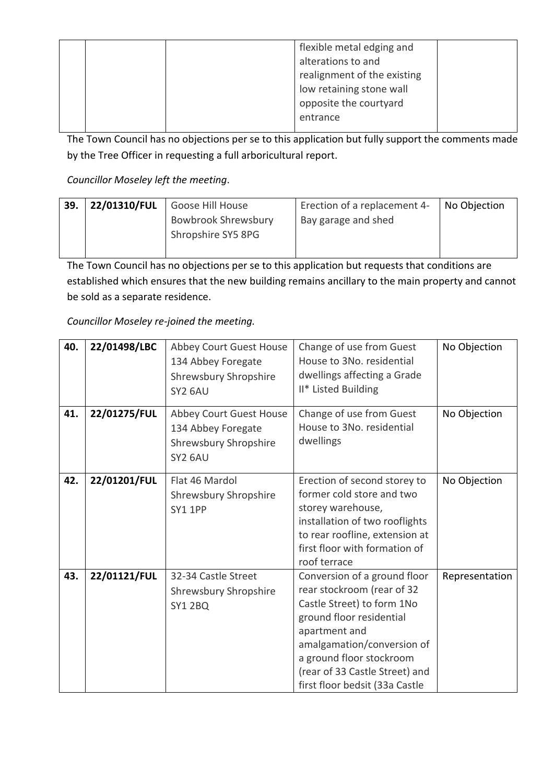| flexible metal edging and   |
|-----------------------------|
| alterations to and          |
| realignment of the existing |
| low retaining stone wall    |
| opposite the courtyard      |
| entrance                    |

The Town Council has no objections per se to this application but fully support the comments made by the Tree Officer in requesting a full arboricultural report.

*Councillor Moseley left the meeting*.

| 39. | 22/01310/FUL | Goose Hill House                          | Erection of a replacement 4- | No Objection |
|-----|--------------|-------------------------------------------|------------------------------|--------------|
|     |              | Bowbrook Shrewsbury<br>Shropshire SY5 8PG | Bay garage and shed          |              |
|     |              |                                           |                              |              |

The Town Council has no objections per se to this application but requests that conditions are established which ensures that the new building remains ancillary to the main property and cannot be sold as a separate residence.

*Councillor Moseley re-joined the meeting.*

| 40. | 22/01498/LBC | Abbey Court Guest House<br>134 Abbey Foregate<br>Shrewsbury Shropshire<br>SY2 6AU        | Change of use from Guest<br>House to 3No. residential<br>dwellings affecting a Grade<br>II* Listed Building                                                                                                                                                         | No Objection   |
|-----|--------------|------------------------------------------------------------------------------------------|---------------------------------------------------------------------------------------------------------------------------------------------------------------------------------------------------------------------------------------------------------------------|----------------|
| 41. | 22/01275/FUL | Abbey Court Guest House<br>134 Abbey Foregate<br><b>Shrewsbury Shropshire</b><br>SY2 6AU | Change of use from Guest<br>House to 3No. residential<br>dwellings                                                                                                                                                                                                  | No Objection   |
| 42. | 22/01201/FUL | Flat 46 Mardol<br>Shrewsbury Shropshire<br>SY1 1PP                                       | Erection of second storey to<br>former cold store and two<br>storey warehouse,<br>installation of two rooflights<br>to rear roofline, extension at<br>first floor with formation of<br>roof terrace                                                                 | No Objection   |
| 43. | 22/01121/FUL | 32-34 Castle Street<br>Shrewsbury Shropshire<br><b>SY1 2BQ</b>                           | Conversion of a ground floor<br>rear stockroom (rear of 32<br>Castle Street) to form 1No<br>ground floor residential<br>apartment and<br>amalgamation/conversion of<br>a ground floor stockroom<br>(rear of 33 Castle Street) and<br>first floor bedsit (33a Castle | Representation |